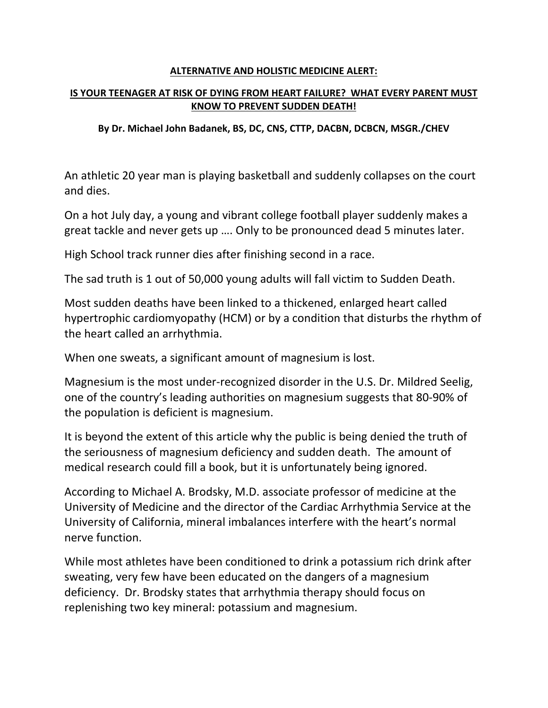#### **ALTERNATIVE AND HOLISTIC MEDICINE ALERT:**

### **IS YOUR TEENAGER AT RISK OF DYING FROM HEART FAILURE? WHAT EVERY PARENT MUST KNOW TO PREVENT SUDDEN DEATH!**

### **By Dr. Michael John Badanek, BS, DC, CNS, CTTP, DACBN, DCBCN, MSGR./CHEV**

An athletic 20 year man is playing basketball and suddenly collapses on the court and dies.

On a hot July day, a young and vibrant college football player suddenly makes a great tackle and never gets up …. Only to be pronounced dead 5 minutes later.

High School track runner dies after finishing second in a race.

The sad truth is 1 out of 50,000 young adults will fall victim to Sudden Death.

Most sudden deaths have been linked to a thickened, enlarged heart called hypertrophic cardiomyopathy (HCM) or by a condition that disturbs the rhythm of the heart called an arrhythmia.

When one sweats, a significant amount of magnesium is lost.

Magnesium is the most under‐recognized disorder in the U.S. Dr. Mildred Seelig, one of the country's leading authorities on magnesium suggests that 80‐90% of the population is deficient is magnesium.

It is beyond the extent of this article why the public is being denied the truth of the seriousness of magnesium deficiency and sudden death. The amount of medical research could fill a book, but it is unfortunately being ignored.

According to Michael A. Brodsky, M.D. associate professor of medicine at the University of Medicine and the director of the Cardiac Arrhythmia Service at the University of California, mineral imbalances interfere with the heart's normal nerve function.

While most athletes have been conditioned to drink a potassium rich drink after sweating, very few have been educated on the dangers of a magnesium deficiency. Dr. Brodsky states that arrhythmia therapy should focus on replenishing two key mineral: potassium and magnesium.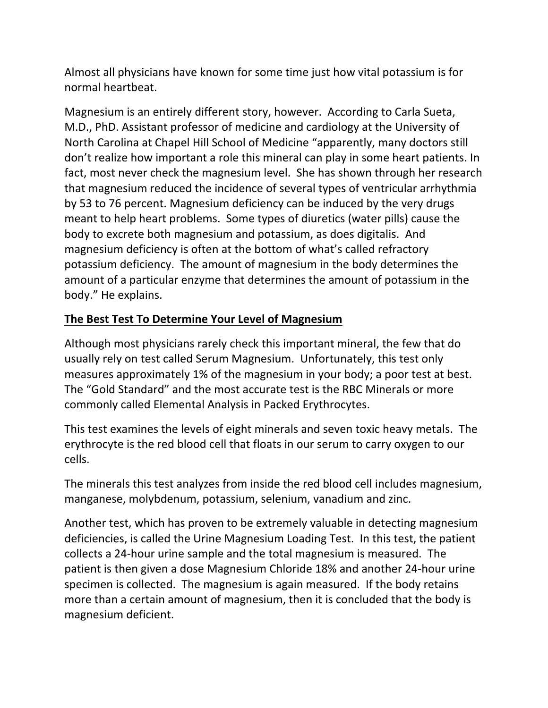Almost all physicians have known for some time just how vital potassium is for normal heartbeat.

Magnesium is an entirely different story, however. According to Carla Sueta, M.D., PhD. Assistant professor of medicine and cardiology at the University of North Carolina at Chapel Hill School of Medicine "apparently, many doctors still don't realize how important a role this mineral can play in some heart patients. In fact, most never check the magnesium level. She has shown through her research that magnesium reduced the incidence of several types of ventricular arrhythmia by 53 to 76 percent. Magnesium deficiency can be induced by the very drugs meant to help heart problems. Some types of diuretics (water pills) cause the body to excrete both magnesium and potassium, as does digitalis. And magnesium deficiency is often at the bottom of what's called refractory potassium deficiency. The amount of magnesium in the body determines the amount of a particular enzyme that determines the amount of potassium in the body." He explains.

# **The Best Test To Determine Your Level of Magnesium**

Although most physicians rarely check this important mineral, the few that do usually rely on test called Serum Magnesium. Unfortunately, this test only measures approximately 1% of the magnesium in your body; a poor test at best. The "Gold Standard" and the most accurate test is the RBC Minerals or more commonly called Elemental Analysis in Packed Erythrocytes.

This test examines the levels of eight minerals and seven toxic heavy metals. The erythrocyte is the red blood cell that floats in our serum to carry oxygen to our cells.

The minerals this test analyzes from inside the red blood cell includes magnesium, manganese, molybdenum, potassium, selenium, vanadium and zinc.

Another test, which has proven to be extremely valuable in detecting magnesium deficiencies, is called the Urine Magnesium Loading Test. In this test, the patient collects a 24‐hour urine sample and the total magnesium is measured. The patient is then given a dose Magnesium Chloride 18% and another 24‐hour urine specimen is collected. The magnesium is again measured. If the body retains more than a certain amount of magnesium, then it is concluded that the body is magnesium deficient.